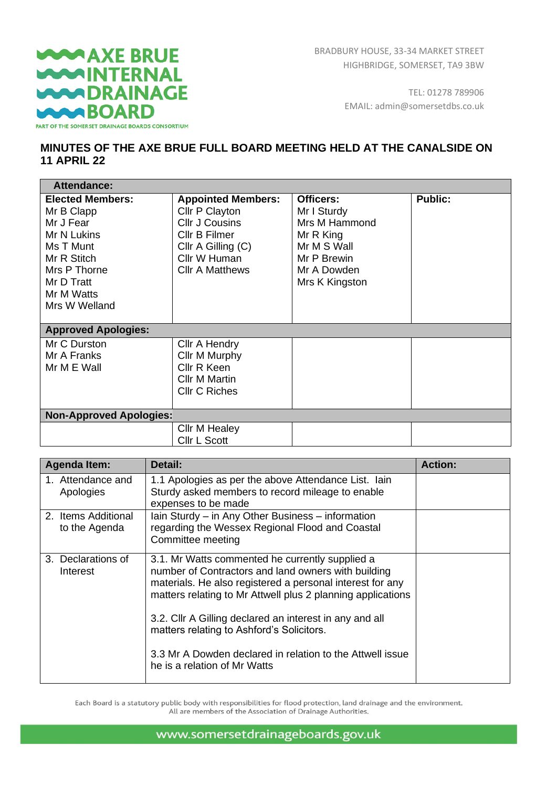## **WAAXE BRUE WARINTERNAL WARDRAINAGE WAABOARD** PART OF THE SOMERSET DRAINAGE BOARDS CONSORTIUM

TEL: 01278 789906 EMAIL: admin@somersetdbs.co.uk

## **MINUTES OF THE AXE BRUE FULL BOARD MEETING HELD AT THE CANALSIDE ON 11 APRIL 22**

| <b>Attendance:</b>                                                                                                                                         |                                                                                                                                                           |                                                                                                                       |                |
|------------------------------------------------------------------------------------------------------------------------------------------------------------|-----------------------------------------------------------------------------------------------------------------------------------------------------------|-----------------------------------------------------------------------------------------------------------------------|----------------|
| <b>Elected Members:</b><br>Mr B Clapp<br>Mr J Fear<br>Mr N Lukins<br>Ms T Munt<br>Mr R Stitch<br>Mrs P Thorne<br>Mr D Tratt<br>Mr M Watts<br>Mrs W Welland | <b>Appointed Members:</b><br>Cllr P Clayton<br><b>CIIr J Cousins</b><br>Cllr B Filmer<br>$Cllr$ A Gilling $(C)$<br>Cllr W Human<br><b>CIIr A Matthews</b> | Officers:<br>Mr I Sturdy<br>Mrs M Hammond<br>Mr R King<br>Mr M S Wall<br>Mr P Brewin<br>Mr A Dowden<br>Mrs K Kingston | <b>Public:</b> |
| <b>Approved Apologies:</b>                                                                                                                                 |                                                                                                                                                           |                                                                                                                       |                |
| Mr C Durston<br>Mr A Franks<br>Mr M E Wall                                                                                                                 | Cllr A Hendry<br>Cllr M Murphy<br>Cllr R Keen<br><b>Cllr M Martin</b><br><b>Cllr C Riches</b>                                                             |                                                                                                                       |                |
| <b>Non-Approved Apologies:</b>                                                                                                                             |                                                                                                                                                           |                                                                                                                       |                |
|                                                                                                                                                            | Cllr M Healey<br>Cllr L Scott                                                                                                                             |                                                                                                                       |                |

| <b>Agenda Item:</b>                  | Detail:                                                                                                                                                                                                                                                                                                                                                                                                                                 | <b>Action:</b> |
|--------------------------------------|-----------------------------------------------------------------------------------------------------------------------------------------------------------------------------------------------------------------------------------------------------------------------------------------------------------------------------------------------------------------------------------------------------------------------------------------|----------------|
| 1. Attendance and<br>Apologies       | 1.1 Apologies as per the above Attendance List. Iain<br>Sturdy asked members to record mileage to enable<br>expenses to be made                                                                                                                                                                                                                                                                                                         |                |
| 2. Items Additional<br>to the Agenda | Iain Sturdy – in Any Other Business – information<br>regarding the Wessex Regional Flood and Coastal<br>Committee meeting                                                                                                                                                                                                                                                                                                               |                |
| 3. Declarations of<br>Interest       | 3.1. Mr Watts commented he currently supplied a<br>number of Contractors and land owners with building<br>materials. He also registered a personal interest for any<br>matters relating to Mr Attwell plus 2 planning applications<br>3.2. Cllr A Gilling declared an interest in any and all<br>matters relating to Ashford's Solicitors.<br>3.3 Mr A Dowden declared in relation to the Attwell issue<br>he is a relation of Mr Watts |                |

Each Board is a statutory public body with responsibilities for flood protection, land drainage and the environment. All are members of the Association of Drainage Authorities.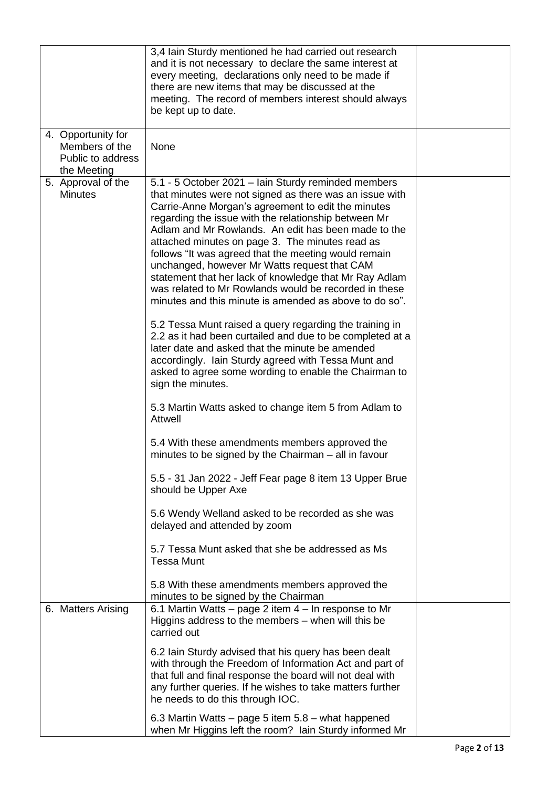|                                                                          | 3,4 Iain Sturdy mentioned he had carried out research<br>and it is not necessary to declare the same interest at<br>every meeting, declarations only need to be made if<br>there are new items that may be discussed at the<br>meeting. The record of members interest should always<br>be kept up to date.                                                                                                                                                                                                                                                                                                                                                                                                                                                                                                                                                                                                            |  |
|--------------------------------------------------------------------------|------------------------------------------------------------------------------------------------------------------------------------------------------------------------------------------------------------------------------------------------------------------------------------------------------------------------------------------------------------------------------------------------------------------------------------------------------------------------------------------------------------------------------------------------------------------------------------------------------------------------------------------------------------------------------------------------------------------------------------------------------------------------------------------------------------------------------------------------------------------------------------------------------------------------|--|
| 4. Opportunity for<br>Members of the<br>Public to address<br>the Meeting | None                                                                                                                                                                                                                                                                                                                                                                                                                                                                                                                                                                                                                                                                                                                                                                                                                                                                                                                   |  |
| 5. Approval of the<br><b>Minutes</b>                                     | 5.1 - 5 October 2021 – lain Sturdy reminded members<br>that minutes were not signed as there was an issue with<br>Carrie-Anne Morgan's agreement to edit the minutes<br>regarding the issue with the relationship between Mr<br>Adlam and Mr Rowlands. An edit has been made to the<br>attached minutes on page 3. The minutes read as<br>follows "It was agreed that the meeting would remain<br>unchanged, however Mr Watts request that CAM<br>statement that her lack of knowledge that Mr Ray Adlam<br>was related to Mr Rowlands would be recorded in these<br>minutes and this minute is amended as above to do so".<br>5.2 Tessa Munt raised a query regarding the training in<br>2.2 as it had been curtailed and due to be completed at a<br>later date and asked that the minute be amended<br>accordingly. Iain Sturdy agreed with Tessa Munt and<br>asked to agree some wording to enable the Chairman to |  |
|                                                                          | sign the minutes.<br>5.3 Martin Watts asked to change item 5 from Adlam to<br>Attwell                                                                                                                                                                                                                                                                                                                                                                                                                                                                                                                                                                                                                                                                                                                                                                                                                                  |  |
|                                                                          | 5.4 With these amendments members approved the<br>minutes to be signed by the Chairman – all in favour                                                                                                                                                                                                                                                                                                                                                                                                                                                                                                                                                                                                                                                                                                                                                                                                                 |  |
|                                                                          | 5.5 - 31 Jan 2022 - Jeff Fear page 8 item 13 Upper Brue<br>should be Upper Axe                                                                                                                                                                                                                                                                                                                                                                                                                                                                                                                                                                                                                                                                                                                                                                                                                                         |  |
|                                                                          | 5.6 Wendy Welland asked to be recorded as she was<br>delayed and attended by zoom                                                                                                                                                                                                                                                                                                                                                                                                                                                                                                                                                                                                                                                                                                                                                                                                                                      |  |
|                                                                          | 5.7 Tessa Munt asked that she be addressed as Ms<br><b>Tessa Munt</b>                                                                                                                                                                                                                                                                                                                                                                                                                                                                                                                                                                                                                                                                                                                                                                                                                                                  |  |
|                                                                          | 5.8 With these amendments members approved the<br>minutes to be signed by the Chairman                                                                                                                                                                                                                                                                                                                                                                                                                                                                                                                                                                                                                                                                                                                                                                                                                                 |  |
| 6. Matters Arising                                                       | 6.1 Martin Watts – page 2 item 4 – In response to Mr<br>Higgins address to the members – when will this be<br>carried out                                                                                                                                                                                                                                                                                                                                                                                                                                                                                                                                                                                                                                                                                                                                                                                              |  |
|                                                                          | 6.2 Iain Sturdy advised that his query has been dealt<br>with through the Freedom of Information Act and part of<br>that full and final response the board will not deal with<br>any further queries. If he wishes to take matters further<br>he needs to do this through IOC.                                                                                                                                                                                                                                                                                                                                                                                                                                                                                                                                                                                                                                         |  |
|                                                                          | 6.3 Martin Watts – page 5 item 5.8 – what happened<br>when Mr Higgins left the room? Iain Sturdy informed Mr                                                                                                                                                                                                                                                                                                                                                                                                                                                                                                                                                                                                                                                                                                                                                                                                           |  |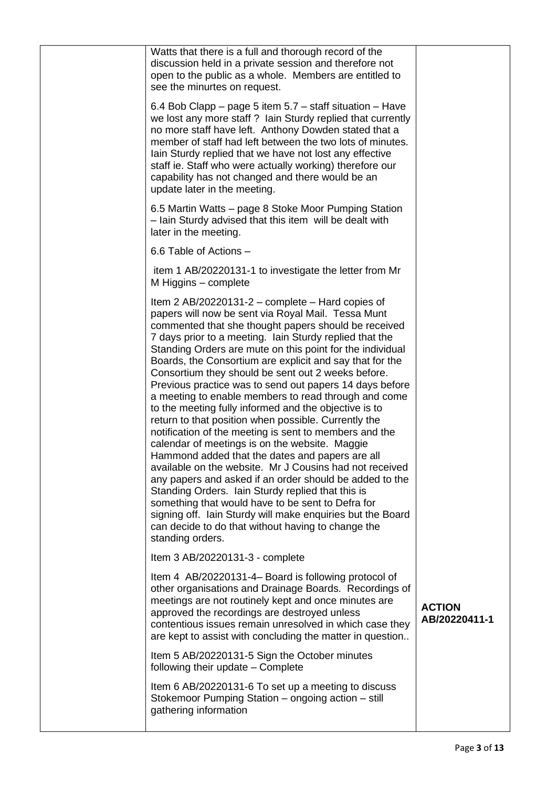| contentious issues remain unresolved in which case they<br>are kept to assist with concluding the matter in question<br>Item 5 AB/20220131-5 Sign the October minutes<br>following their update – Complete<br>Item 6 AB/20220131-6 To set up a meeting to discuss<br>Stokemoor Pumping Station - ongoing action - still<br>gathering information                                                                                                                                                                                                                                                                                                                                                                                                                                                                                                                                                                                                                                                                                                                                                                                                                                    |                                |
|-------------------------------------------------------------------------------------------------------------------------------------------------------------------------------------------------------------------------------------------------------------------------------------------------------------------------------------------------------------------------------------------------------------------------------------------------------------------------------------------------------------------------------------------------------------------------------------------------------------------------------------------------------------------------------------------------------------------------------------------------------------------------------------------------------------------------------------------------------------------------------------------------------------------------------------------------------------------------------------------------------------------------------------------------------------------------------------------------------------------------------------------------------------------------------------|--------------------------------|
| Item 4 AB/20220131-4– Board is following protocol of<br>other organisations and Drainage Boards. Recordings of<br>meetings are not routinely kept and once minutes are<br>approved the recordings are destroyed unless                                                                                                                                                                                                                                                                                                                                                                                                                                                                                                                                                                                                                                                                                                                                                                                                                                                                                                                                                              | <b>ACTION</b><br>AB/20220411-1 |
| Item 3 AB/20220131-3 - complete                                                                                                                                                                                                                                                                                                                                                                                                                                                                                                                                                                                                                                                                                                                                                                                                                                                                                                                                                                                                                                                                                                                                                     |                                |
| Item 2 AB/20220131-2 – complete – Hard copies of<br>papers will now be sent via Royal Mail. Tessa Munt<br>commented that she thought papers should be received<br>7 days prior to a meeting. Iain Sturdy replied that the<br>Standing Orders are mute on this point for the individual<br>Boards, the Consortium are explicit and say that for the<br>Consortium they should be sent out 2 weeks before.<br>Previous practice was to send out papers 14 days before<br>a meeting to enable members to read through and come<br>to the meeting fully informed and the objective is to<br>return to that position when possible. Currently the<br>notification of the meeting is sent to members and the<br>calendar of meetings is on the website. Maggie<br>Hammond added that the dates and papers are all<br>available on the website. Mr J Cousins had not received<br>any papers and asked if an order should be added to the<br>Standing Orders. Iain Sturdy replied that this is<br>something that would have to be sent to Defra for<br>signing off. Iain Sturdy will make enquiries but the Board<br>can decide to do that without having to change the<br>standing orders. |                                |
| item 1 AB/20220131-1 to investigate the letter from Mr<br>M Higgins - complete                                                                                                                                                                                                                                                                                                                                                                                                                                                                                                                                                                                                                                                                                                                                                                                                                                                                                                                                                                                                                                                                                                      |                                |
| 6.6 Table of Actions -                                                                                                                                                                                                                                                                                                                                                                                                                                                                                                                                                                                                                                                                                                                                                                                                                                                                                                                                                                                                                                                                                                                                                              |                                |
| 6.5 Martin Watts – page 8 Stoke Moor Pumping Station<br>- Iain Sturdy advised that this item will be dealt with<br>later in the meeting.                                                                                                                                                                                                                                                                                                                                                                                                                                                                                                                                                                                                                                                                                                                                                                                                                                                                                                                                                                                                                                            |                                |
| 6.4 Bob Clapp – page 5 item 5.7 – staff situation – Have<br>we lost any more staff? Iain Sturdy replied that currently<br>no more staff have left. Anthony Dowden stated that a<br>member of staff had left between the two lots of minutes.<br>lain Sturdy replied that we have not lost any effective<br>staff ie. Staff who were actually working) therefore our<br>capability has not changed and there would be an<br>update later in the meeting.                                                                                                                                                                                                                                                                                                                                                                                                                                                                                                                                                                                                                                                                                                                             |                                |
| Watts that there is a full and thorough record of the<br>discussion held in a private session and therefore not<br>open to the public as a whole. Members are entitled to<br>see the minurtes on request.                                                                                                                                                                                                                                                                                                                                                                                                                                                                                                                                                                                                                                                                                                                                                                                                                                                                                                                                                                           |                                |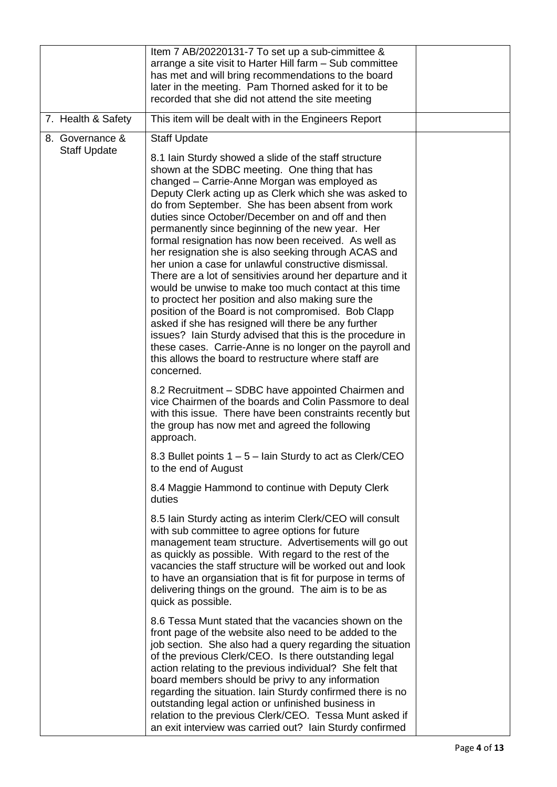|                                        | Item 7 AB/20220131-7 To set up a sub-cimmittee &<br>arrange a site visit to Harter Hill farm - Sub committee<br>has met and will bring recommendations to the board<br>later in the meeting. Pam Thorned asked for it to be<br>recorded that she did not attend the site meeting                                                                                                                                                                                                                                                                                                                                                                                                                                                                                                                                                                                                                                                                                                                                                                                       |  |
|----------------------------------------|------------------------------------------------------------------------------------------------------------------------------------------------------------------------------------------------------------------------------------------------------------------------------------------------------------------------------------------------------------------------------------------------------------------------------------------------------------------------------------------------------------------------------------------------------------------------------------------------------------------------------------------------------------------------------------------------------------------------------------------------------------------------------------------------------------------------------------------------------------------------------------------------------------------------------------------------------------------------------------------------------------------------------------------------------------------------|--|
| 7. Health & Safety                     | This item will be dealt with in the Engineers Report                                                                                                                                                                                                                                                                                                                                                                                                                                                                                                                                                                                                                                                                                                                                                                                                                                                                                                                                                                                                                   |  |
| 8. Governance &<br><b>Staff Update</b> | <b>Staff Update</b><br>8.1 Iain Sturdy showed a slide of the staff structure<br>shown at the SDBC meeting. One thing that has<br>changed - Carrie-Anne Morgan was employed as<br>Deputy Clerk acting up as Clerk which she was asked to<br>do from September. She has been absent from work<br>duties since October/December on and off and then<br>permanently since beginning of the new year. Her<br>formal resignation has now been received. As well as<br>her resignation she is also seeking through ACAS and<br>her union a case for unlawful constructive dismissal.<br>There are a lot of sensitivies around her departure and it<br>would be unwise to make too much contact at this time<br>to proctect her position and also making sure the<br>position of the Board is not compromised. Bob Clapp<br>asked if she has resigned will there be any further<br>issues? Iain Sturdy advised that this is the procedure in<br>these cases. Carrie-Anne is no longer on the payroll and<br>this allows the board to restructure where staff are<br>concerned. |  |
|                                        | 8.2 Recruitment – SDBC have appointed Chairmen and<br>vice Chairmen of the boards and Colin Passmore to deal<br>with this issue. There have been constraints recently but<br>the group has now met and agreed the following<br>approach.                                                                                                                                                                                                                                                                                                                                                                                                                                                                                                                                                                                                                                                                                                                                                                                                                               |  |
|                                        | 8.3 Bullet points 1 – 5 – lain Sturdy to act as Clerk/CEO<br>to the end of August                                                                                                                                                                                                                                                                                                                                                                                                                                                                                                                                                                                                                                                                                                                                                                                                                                                                                                                                                                                      |  |
|                                        | 8.4 Maggie Hammond to continue with Deputy Clerk<br>duties                                                                                                                                                                                                                                                                                                                                                                                                                                                                                                                                                                                                                                                                                                                                                                                                                                                                                                                                                                                                             |  |
|                                        | 8.5 Iain Sturdy acting as interim Clerk/CEO will consult<br>with sub committee to agree options for future<br>management team structure. Advertisements will go out<br>as quickly as possible. With regard to the rest of the<br>vacancies the staff structure will be worked out and look<br>to have an organsiation that is fit for purpose in terms of<br>delivering things on the ground. The aim is to be as<br>quick as possible.                                                                                                                                                                                                                                                                                                                                                                                                                                                                                                                                                                                                                                |  |
|                                        | 8.6 Tessa Munt stated that the vacancies shown on the<br>front page of the website also need to be added to the<br>job section. She also had a query regarding the situation<br>of the previous Clerk/CEO. Is there outstanding legal<br>action relating to the previous individual? She felt that<br>board members should be privy to any information<br>regarding the situation. Iain Sturdy confirmed there is no<br>outstanding legal action or unfinished business in<br>relation to the previous Clerk/CEO. Tessa Munt asked if<br>an exit interview was carried out? Iain Sturdy confirmed                                                                                                                                                                                                                                                                                                                                                                                                                                                                      |  |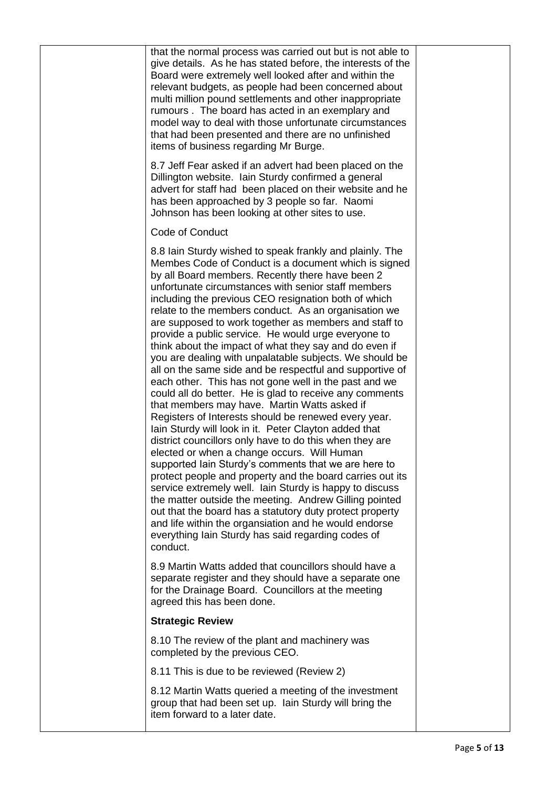| that the normal process was carried out but is not able to<br>give details. As he has stated before, the interests of the<br>Board were extremely well looked after and within the<br>relevant budgets, as people had been concerned about<br>multi million pound settlements and other inappropriate<br>rumours. The board has acted in an exemplary and<br>model way to deal with those unfortunate circumstances<br>that had been presented and there are no unfinished<br>items of business regarding Mr Burge.                                                                                                                                                                                                                                                                                                                                                                                                                                                                                                                                                                                                                                                                                                                                                                                                                                                                                                                                                          |  |
|------------------------------------------------------------------------------------------------------------------------------------------------------------------------------------------------------------------------------------------------------------------------------------------------------------------------------------------------------------------------------------------------------------------------------------------------------------------------------------------------------------------------------------------------------------------------------------------------------------------------------------------------------------------------------------------------------------------------------------------------------------------------------------------------------------------------------------------------------------------------------------------------------------------------------------------------------------------------------------------------------------------------------------------------------------------------------------------------------------------------------------------------------------------------------------------------------------------------------------------------------------------------------------------------------------------------------------------------------------------------------------------------------------------------------------------------------------------------------|--|
| 8.7 Jeff Fear asked if an advert had been placed on the<br>Dillington website. Iain Sturdy confirmed a general<br>advert for staff had been placed on their website and he<br>has been approached by 3 people so far. Naomi<br>Johnson has been looking at other sites to use.                                                                                                                                                                                                                                                                                                                                                                                                                                                                                                                                                                                                                                                                                                                                                                                                                                                                                                                                                                                                                                                                                                                                                                                               |  |
| Code of Conduct                                                                                                                                                                                                                                                                                                                                                                                                                                                                                                                                                                                                                                                                                                                                                                                                                                                                                                                                                                                                                                                                                                                                                                                                                                                                                                                                                                                                                                                              |  |
| 8.8 lain Sturdy wished to speak frankly and plainly. The<br>Membes Code of Conduct is a document which is signed<br>by all Board members. Recently there have been 2<br>unfortunate circumstances with senior staff members<br>including the previous CEO resignation both of which<br>relate to the members conduct. As an organisation we<br>are supposed to work together as members and staff to<br>provide a public service. He would urge everyone to<br>think about the impact of what they say and do even if<br>you are dealing with unpalatable subjects. We should be<br>all on the same side and be respectful and supportive of<br>each other. This has not gone well in the past and we<br>could all do better. He is glad to receive any comments<br>that members may have. Martin Watts asked if<br>Registers of Interests should be renewed every year.<br>Iain Sturdy will look in it. Peter Clayton added that<br>district councillors only have to do this when they are<br>elected or when a change occurs. Will Human<br>supported Iain Sturdy's comments that we are here to<br>protect people and property and the board carries out its<br>service extremely well. Iain Sturdy is happy to discuss<br>the matter outside the meeting. Andrew Gilling pointed<br>out that the board has a statutory duty protect property<br>and life within the organsiation and he would endorse<br>everything lain Sturdy has said regarding codes of<br>conduct. |  |
| 8.9 Martin Watts added that councillors should have a<br>separate register and they should have a separate one<br>for the Drainage Board. Councillors at the meeting<br>agreed this has been done.                                                                                                                                                                                                                                                                                                                                                                                                                                                                                                                                                                                                                                                                                                                                                                                                                                                                                                                                                                                                                                                                                                                                                                                                                                                                           |  |
| <b>Strategic Review</b>                                                                                                                                                                                                                                                                                                                                                                                                                                                                                                                                                                                                                                                                                                                                                                                                                                                                                                                                                                                                                                                                                                                                                                                                                                                                                                                                                                                                                                                      |  |
| 8.10 The review of the plant and machinery was<br>completed by the previous CEO.                                                                                                                                                                                                                                                                                                                                                                                                                                                                                                                                                                                                                                                                                                                                                                                                                                                                                                                                                                                                                                                                                                                                                                                                                                                                                                                                                                                             |  |
| 8.11 This is due to be reviewed (Review 2)                                                                                                                                                                                                                                                                                                                                                                                                                                                                                                                                                                                                                                                                                                                                                                                                                                                                                                                                                                                                                                                                                                                                                                                                                                                                                                                                                                                                                                   |  |
| 8.12 Martin Watts queried a meeting of the investment<br>group that had been set up. Iain Sturdy will bring the<br>item forward to a later date.                                                                                                                                                                                                                                                                                                                                                                                                                                                                                                                                                                                                                                                                                                                                                                                                                                                                                                                                                                                                                                                                                                                                                                                                                                                                                                                             |  |
|                                                                                                                                                                                                                                                                                                                                                                                                                                                                                                                                                                                                                                                                                                                                                                                                                                                                                                                                                                                                                                                                                                                                                                                                                                                                                                                                                                                                                                                                              |  |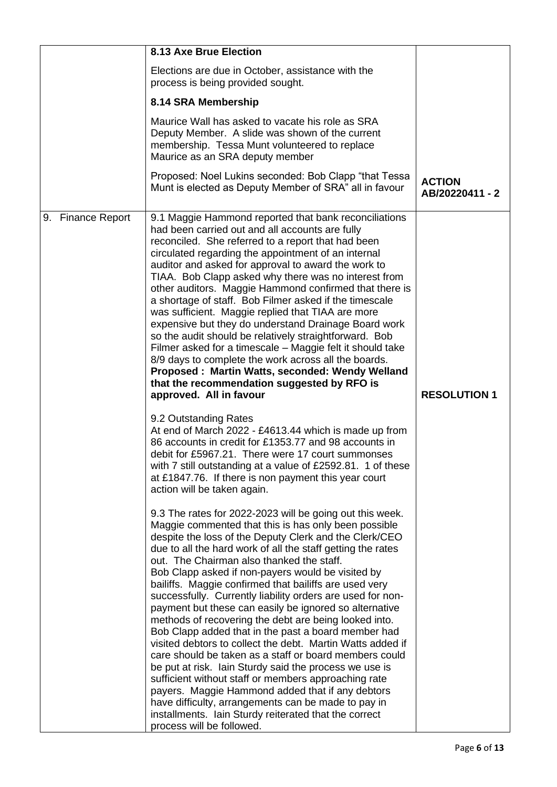|                   | <b>8.13 Axe Brue Election</b>                                                                                                                                                                                                                                                                                                                                                                                                                                                                                                                                                                                                                                                                                                                                                                                                                                                                                                                                                                                                                                                                                                                                                                                                                                                                                                                                                                                                                                                                                                                                                                                                                                                                                                                                                                                                                                                                                                                                                                                                                                                                                                                                                                                                                 |                                  |
|-------------------|-----------------------------------------------------------------------------------------------------------------------------------------------------------------------------------------------------------------------------------------------------------------------------------------------------------------------------------------------------------------------------------------------------------------------------------------------------------------------------------------------------------------------------------------------------------------------------------------------------------------------------------------------------------------------------------------------------------------------------------------------------------------------------------------------------------------------------------------------------------------------------------------------------------------------------------------------------------------------------------------------------------------------------------------------------------------------------------------------------------------------------------------------------------------------------------------------------------------------------------------------------------------------------------------------------------------------------------------------------------------------------------------------------------------------------------------------------------------------------------------------------------------------------------------------------------------------------------------------------------------------------------------------------------------------------------------------------------------------------------------------------------------------------------------------------------------------------------------------------------------------------------------------------------------------------------------------------------------------------------------------------------------------------------------------------------------------------------------------------------------------------------------------------------------------------------------------------------------------------------------------|----------------------------------|
|                   | Elections are due in October, assistance with the<br>process is being provided sought.                                                                                                                                                                                                                                                                                                                                                                                                                                                                                                                                                                                                                                                                                                                                                                                                                                                                                                                                                                                                                                                                                                                                                                                                                                                                                                                                                                                                                                                                                                                                                                                                                                                                                                                                                                                                                                                                                                                                                                                                                                                                                                                                                        |                                  |
|                   | 8.14 SRA Membership                                                                                                                                                                                                                                                                                                                                                                                                                                                                                                                                                                                                                                                                                                                                                                                                                                                                                                                                                                                                                                                                                                                                                                                                                                                                                                                                                                                                                                                                                                                                                                                                                                                                                                                                                                                                                                                                                                                                                                                                                                                                                                                                                                                                                           |                                  |
|                   | Maurice Wall has asked to vacate his role as SRA<br>Deputy Member. A slide was shown of the current<br>membership. Tessa Munt volunteered to replace<br>Maurice as an SRA deputy member                                                                                                                                                                                                                                                                                                                                                                                                                                                                                                                                                                                                                                                                                                                                                                                                                                                                                                                                                                                                                                                                                                                                                                                                                                                                                                                                                                                                                                                                                                                                                                                                                                                                                                                                                                                                                                                                                                                                                                                                                                                       |                                  |
|                   | Proposed: Noel Lukins seconded: Bob Clapp "that Tessa<br>Munt is elected as Deputy Member of SRA" all in favour                                                                                                                                                                                                                                                                                                                                                                                                                                                                                                                                                                                                                                                                                                                                                                                                                                                                                                                                                                                                                                                                                                                                                                                                                                                                                                                                                                                                                                                                                                                                                                                                                                                                                                                                                                                                                                                                                                                                                                                                                                                                                                                               | <b>ACTION</b><br>AB/20220411 - 2 |
| 9. Finance Report | 9.1 Maggie Hammond reported that bank reconciliations<br>had been carried out and all accounts are fully<br>reconciled. She referred to a report that had been<br>circulated regarding the appointment of an internal<br>auditor and asked for approval to award the work to<br>TIAA. Bob Clapp asked why there was no interest from<br>other auditors. Maggie Hammond confirmed that there is<br>a shortage of staff. Bob Filmer asked if the timescale<br>was sufficient. Maggie replied that TIAA are more<br>expensive but they do understand Drainage Board work<br>so the audit should be relatively straightforward. Bob<br>Filmer asked for a timescale – Maggie felt it should take<br>8/9 days to complete the work across all the boards.<br>Proposed: Martin Watts, seconded: Wendy Welland<br>that the recommendation suggested by RFO is<br>approved. All in favour<br>9.2 Outstanding Rates<br>At end of March 2022 - £4613.44 which is made up from<br>86 accounts in credit for £1353.77 and 98 accounts in<br>debit for £5967.21. There were 17 court summonses<br>with 7 still outstanding at a value of £2592.81. 1 of these<br>at £1847.76. If there is non payment this year court<br>action will be taken again.<br>9.3 The rates for 2022-2023 will be going out this week.<br>Maggie commented that this is has only been possible<br>despite the loss of the Deputy Clerk and the Clerk/CEO<br>due to all the hard work of all the staff getting the rates<br>out. The Chairman also thanked the staff.<br>Bob Clapp asked if non-payers would be visited by<br>bailiffs. Maggie confirmed that bailiffs are used very<br>successfully. Currently liability orders are used for non-<br>payment but these can easily be ignored so alternative<br>methods of recovering the debt are being looked into.<br>Bob Clapp added that in the past a board member had<br>visited debtors to collect the debt. Martin Watts added if<br>care should be taken as a staff or board members could<br>be put at risk. Iain Sturdy said the process we use is<br>sufficient without staff or members approaching rate<br>payers. Maggie Hammond added that if any debtors<br>have difficulty, arrangements can be made to pay in | <b>RESOLUTION 1</b>              |
|                   | installments. Iain Sturdy reiterated that the correct<br>process will be followed.                                                                                                                                                                                                                                                                                                                                                                                                                                                                                                                                                                                                                                                                                                                                                                                                                                                                                                                                                                                                                                                                                                                                                                                                                                                                                                                                                                                                                                                                                                                                                                                                                                                                                                                                                                                                                                                                                                                                                                                                                                                                                                                                                            |                                  |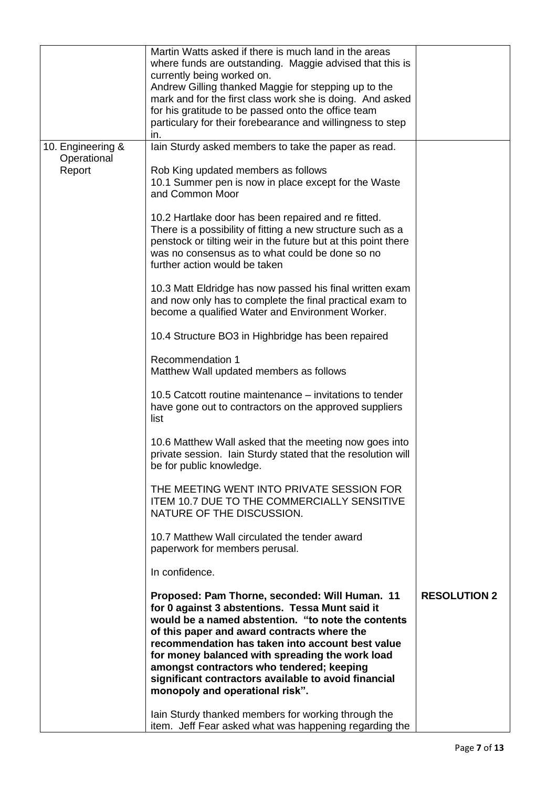|                                            | Martin Watts asked if there is much land in the areas<br>where funds are outstanding. Maggie advised that this is<br>currently being worked on.<br>Andrew Gilling thanked Maggie for stepping up to the<br>mark and for the first class work she is doing. And asked<br>for his gratitude to be passed onto the office team<br>particulary for their forebearance and willingness to step<br>in.                                                                                                                                                                                                                                                                                                                                                                                                                                                                                                                                                                                                                                                                                                                                                                                                                                                           |                     |
|--------------------------------------------|------------------------------------------------------------------------------------------------------------------------------------------------------------------------------------------------------------------------------------------------------------------------------------------------------------------------------------------------------------------------------------------------------------------------------------------------------------------------------------------------------------------------------------------------------------------------------------------------------------------------------------------------------------------------------------------------------------------------------------------------------------------------------------------------------------------------------------------------------------------------------------------------------------------------------------------------------------------------------------------------------------------------------------------------------------------------------------------------------------------------------------------------------------------------------------------------------------------------------------------------------------|---------------------|
| 10. Engineering &<br>Operational<br>Report | lain Sturdy asked members to take the paper as read.<br>Rob King updated members as follows<br>10.1 Summer pen is now in place except for the Waste<br>and Common Moor<br>10.2 Hartlake door has been repaired and re fitted.<br>There is a possibility of fitting a new structure such as a<br>penstock or tilting weir in the future but at this point there<br>was no consensus as to what could be done so no<br>further action would be taken<br>10.3 Matt Eldridge has now passed his final written exam<br>and now only has to complete the final practical exam to<br>become a qualified Water and Environment Worker.<br>10.4 Structure BO3 in Highbridge has been repaired<br>Recommendation 1<br>Matthew Wall updated members as follows<br>10.5 Catcott routine maintenance – invitations to tender<br>have gone out to contractors on the approved suppliers<br>list<br>10.6 Matthew Wall asked that the meeting now goes into<br>private session. Iain Sturdy stated that the resolution will<br>be for public knowledge.<br>THE MEETING WENT INTO PRIVATE SESSION FOR<br><b>ITEM 10.7 DUE TO THE COMMERCIALLY SENSITIVE</b><br>NATURE OF THE DISCUSSION.<br>10.7 Matthew Wall circulated the tender award<br>paperwork for members perusal. |                     |
|                                            | In confidence.<br>Proposed: Pam Thorne, seconded: Will Human. 11<br>for 0 against 3 abstentions. Tessa Munt said it<br>would be a named abstention. "to note the contents<br>of this paper and award contracts where the<br>recommendation has taken into account best value<br>for money balanced with spreading the work load<br>amongst contractors who tendered; keeping<br>significant contractors available to avoid financial<br>monopoly and operational risk".<br>lain Sturdy thanked members for working through the<br>item. Jeff Fear asked what was happening regarding the                                                                                                                                                                                                                                                                                                                                                                                                                                                                                                                                                                                                                                                                   | <b>RESOLUTION 2</b> |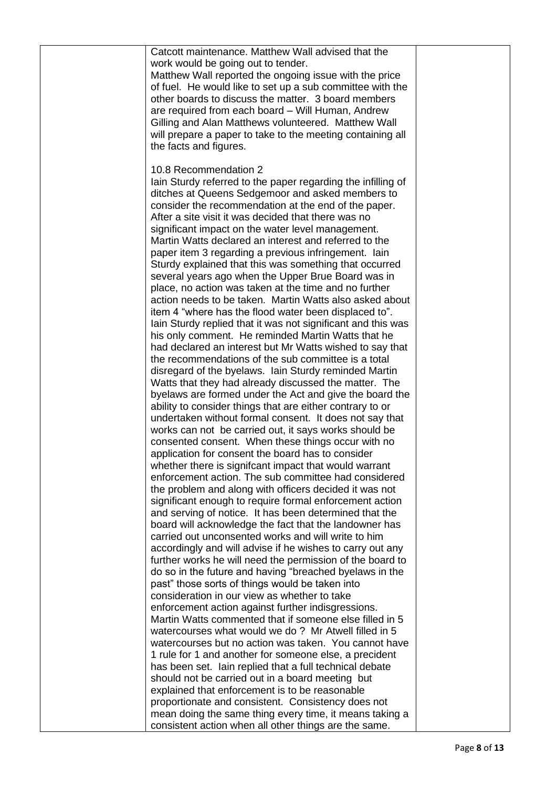| Catcott maintenance. Matthew Wall advised that the<br>work would be going out to tender.<br>Matthew Wall reported the ongoing issue with the price<br>of fuel. He would like to set up a sub committee with the<br>other boards to discuss the matter. 3 board members<br>are required from each board - Will Human, Andrew<br>Gilling and Alan Matthews volunteered. Matthew Wall<br>will prepare a paper to take to the meeting containing all<br>the facts and figures.                                                                                                                                                                                     |  |
|----------------------------------------------------------------------------------------------------------------------------------------------------------------------------------------------------------------------------------------------------------------------------------------------------------------------------------------------------------------------------------------------------------------------------------------------------------------------------------------------------------------------------------------------------------------------------------------------------------------------------------------------------------------|--|
| 10.8 Recommendation 2<br>Iain Sturdy referred to the paper regarding the infilling of<br>ditches at Queens Sedgemoor and asked members to<br>consider the recommendation at the end of the paper.<br>After a site visit it was decided that there was no<br>significant impact on the water level management.<br>Martin Watts declared an interest and referred to the<br>paper item 3 regarding a previous infringement. lain<br>Sturdy explained that this was something that occurred<br>several years ago when the Upper Brue Board was in<br>place, no action was taken at the time and no further                                                        |  |
| action needs to be taken. Martin Watts also asked about<br>item 4 "where has the flood water been displaced to".<br>Iain Sturdy replied that it was not significant and this was<br>his only comment. He reminded Martin Watts that he<br>had declared an interest but Mr Watts wished to say that<br>the recommendations of the sub committee is a total<br>disregard of the byelaws. Iain Sturdy reminded Martin<br>Watts that they had already discussed the matter. The<br>byelaws are formed under the Act and give the board the<br>ability to consider things that are either contrary to or<br>undertaken without formal consent. It does not say that |  |
| works can not be carried out, it says works should be<br>consented consent. When these things occur with no<br>application for consent the board has to consider<br>whether there is signifcant impact that would warrant<br>enforcement action. The sub committee had considered<br>the problem and along with officers decided it was not<br>significant enough to require formal enforcement action<br>and serving of notice. It has been determined that the<br>board will acknowledge the fact that the landowner has<br>carried out unconsented works and will write to him                                                                              |  |
| accordingly and will advise if he wishes to carry out any<br>further works he will need the permission of the board to<br>do so in the future and having "breached byelaws in the<br>past" those sorts of things would be taken into<br>consideration in our view as whether to take<br>enforcement action against further indisgressions.<br>Martin Watts commented that if someone else filled in 5<br>watercourses what would we do? Mr Atwell filled in 5<br>watercourses but no action was taken. You cannot have                                                                                                                                         |  |
| 1 rule for 1 and another for someone else, a precident<br>has been set. Iain replied that a full technical debate<br>should not be carried out in a board meeting but<br>explained that enforcement is to be reasonable<br>proportionate and consistent. Consistency does not<br>mean doing the same thing every time, it means taking a<br>consistent action when all other things are the same.                                                                                                                                                                                                                                                              |  |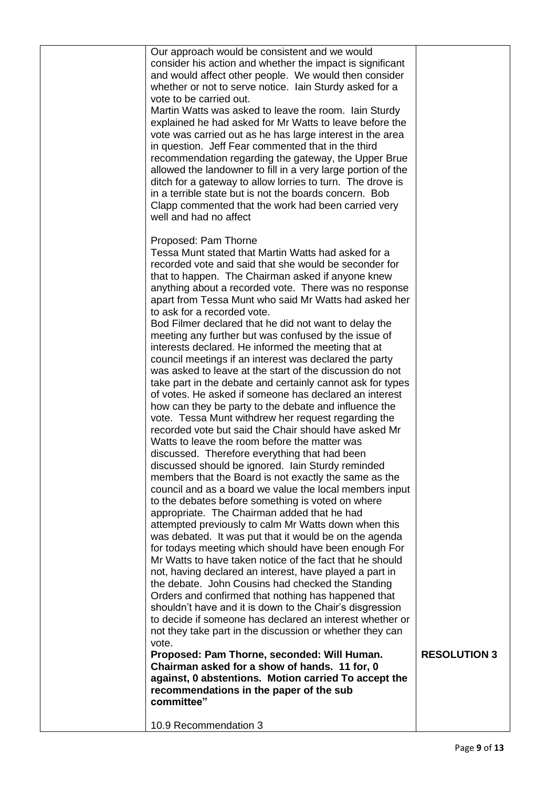| Our approach would be consistent and we would<br>consider his action and whether the impact is significant<br>and would affect other people. We would then consider<br>whether or not to serve notice. Iain Sturdy asked for a<br>vote to be carried out.<br>Martin Watts was asked to leave the room. Iain Sturdy<br>explained he had asked for Mr Watts to leave before the<br>vote was carried out as he has large interest in the area<br>in question. Jeff Fear commented that in the third<br>recommendation regarding the gateway, the Upper Brue<br>allowed the landowner to fill in a very large portion of the<br>ditch for a gateway to allow lorries to turn. The drove is<br>in a terrible state but is not the boards concern. Bob<br>Clapp commented that the work had been carried very<br>well and had no affect                                                                                                                                                                                                                                                                                                                                                                                                                                                                                                                                                                                                                                                                                                                                                                                                                                                                                                                                                                                                                                                                                                                                                                                                                                                                                                                   |                     |
|-----------------------------------------------------------------------------------------------------------------------------------------------------------------------------------------------------------------------------------------------------------------------------------------------------------------------------------------------------------------------------------------------------------------------------------------------------------------------------------------------------------------------------------------------------------------------------------------------------------------------------------------------------------------------------------------------------------------------------------------------------------------------------------------------------------------------------------------------------------------------------------------------------------------------------------------------------------------------------------------------------------------------------------------------------------------------------------------------------------------------------------------------------------------------------------------------------------------------------------------------------------------------------------------------------------------------------------------------------------------------------------------------------------------------------------------------------------------------------------------------------------------------------------------------------------------------------------------------------------------------------------------------------------------------------------------------------------------------------------------------------------------------------------------------------------------------------------------------------------------------------------------------------------------------------------------------------------------------------------------------------------------------------------------------------------------------------------------------------------------------------------------------------|---------------------|
| Proposed: Pam Thorne<br>Tessa Munt stated that Martin Watts had asked for a<br>recorded vote and said that she would be seconder for<br>that to happen. The Chairman asked if anyone knew<br>anything about a recorded vote. There was no response<br>apart from Tessa Munt who said Mr Watts had asked her<br>to ask for a recorded vote.<br>Bod Filmer declared that he did not want to delay the<br>meeting any further but was confused by the issue of<br>interests declared. He informed the meeting that at<br>council meetings if an interest was declared the party<br>was asked to leave at the start of the discussion do not<br>take part in the debate and certainly cannot ask for types<br>of votes. He asked if someone has declared an interest<br>how can they be party to the debate and influence the<br>vote. Tessa Munt withdrew her request regarding the<br>recorded vote but said the Chair should have asked Mr<br>Watts to leave the room before the matter was<br>discussed. Therefore everything that had been<br>discussed should be ignored. Iain Sturdy reminded<br>members that the Board is not exactly the same as the<br>council and as a board we value the local members input<br>to the debates before something is voted on where<br>appropriate. The Chairman added that he had<br>attempted previously to calm Mr Watts down when this<br>was debated. It was put that it would be on the agenda<br>for todays meeting which should have been enough For<br>Mr Watts to have taken notice of the fact that he should<br>not, having declared an interest, have played a part in<br>the debate. John Cousins had checked the Standing<br>Orders and confirmed that nothing has happened that<br>shouldn't have and it is down to the Chair's disgression<br>to decide if someone has declared an interest whether or<br>not they take part in the discussion or whether they can<br>vote.<br>Proposed: Pam Thorne, seconded: Will Human.<br>Chairman asked for a show of hands. 11 for, 0<br>against, 0 abstentions. Motion carried To accept the<br>recommendations in the paper of the sub<br>committee" | <b>RESOLUTION 3</b> |
| 10.9 Recommendation 3                                                                                                                                                                                                                                                                                                                                                                                                                                                                                                                                                                                                                                                                                                                                                                                                                                                                                                                                                                                                                                                                                                                                                                                                                                                                                                                                                                                                                                                                                                                                                                                                                                                                                                                                                                                                                                                                                                                                                                                                                                                                                                                               |                     |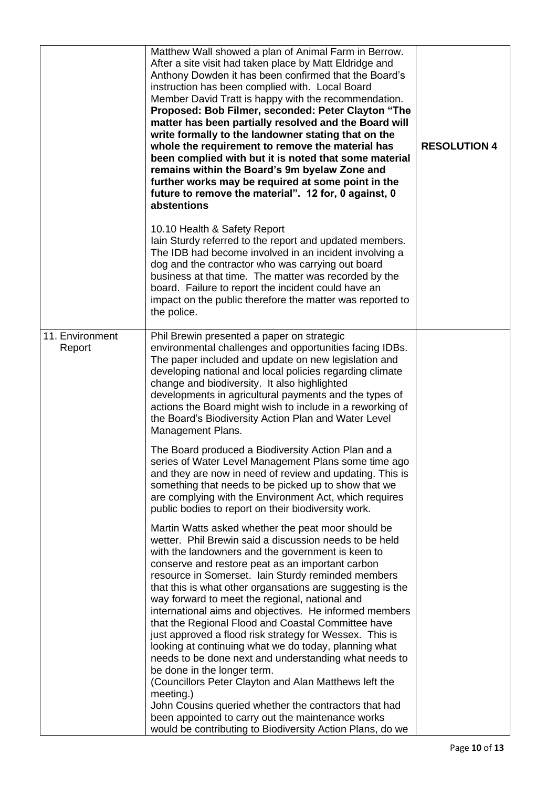|                           | Matthew Wall showed a plan of Animal Farm in Berrow.<br>After a site visit had taken place by Matt Eldridge and<br>Anthony Dowden it has been confirmed that the Board's<br>instruction has been complied with. Local Board<br>Member David Tratt is happy with the recommendation.<br>Proposed: Bob Filmer, seconded: Peter Clayton "The<br>matter has been partially resolved and the Board will<br>write formally to the landowner stating that on the<br>whole the requirement to remove the material has<br>been complied with but it is noted that some material<br>remains within the Board's 9m byelaw Zone and<br>further works may be required at some point in the<br>future to remove the material". 12 for, 0 against, 0<br>abstentions                                                                                                                                                        | <b>RESOLUTION 4</b> |
|---------------------------|-------------------------------------------------------------------------------------------------------------------------------------------------------------------------------------------------------------------------------------------------------------------------------------------------------------------------------------------------------------------------------------------------------------------------------------------------------------------------------------------------------------------------------------------------------------------------------------------------------------------------------------------------------------------------------------------------------------------------------------------------------------------------------------------------------------------------------------------------------------------------------------------------------------|---------------------|
|                           | 10.10 Health & Safety Report<br>lain Sturdy referred to the report and updated members.<br>The IDB had become involved in an incident involving a<br>dog and the contractor who was carrying out board<br>business at that time. The matter was recorded by the<br>board. Failure to report the incident could have an<br>impact on the public therefore the matter was reported to<br>the police.                                                                                                                                                                                                                                                                                                                                                                                                                                                                                                          |                     |
| 11. Environment<br>Report | Phil Brewin presented a paper on strategic<br>environmental challenges and opportunities facing IDBs.<br>The paper included and update on new legislation and<br>developing national and local policies regarding climate<br>change and biodiversity. It also highlighted<br>developments in agricultural payments and the types of<br>actions the Board might wish to include in a reworking of<br>the Board's Biodiversity Action Plan and Water Level<br>Management Plans.                                                                                                                                                                                                                                                                                                                                                                                                                               |                     |
|                           | The Board produced a Biodiversity Action Plan and a<br>series of Water Level Management Plans some time ago<br>and they are now in need of review and updating. This is<br>something that needs to be picked up to show that we<br>are complying with the Environment Act, which requires<br>public bodies to report on their biodiversity work.                                                                                                                                                                                                                                                                                                                                                                                                                                                                                                                                                            |                     |
|                           | Martin Watts asked whether the peat moor should be<br>wetter. Phil Brewin said a discussion needs to be held<br>with the landowners and the government is keen to<br>conserve and restore peat as an important carbon<br>resource in Somerset. Iain Sturdy reminded members<br>that this is what other organsations are suggesting is the<br>way forward to meet the regional, national and<br>international aims and objectives. He informed members<br>that the Regional Flood and Coastal Committee have<br>just approved a flood risk strategy for Wessex. This is<br>looking at continuing what we do today, planning what<br>needs to be done next and understanding what needs to<br>be done in the longer term.<br>(Councillors Peter Clayton and Alan Matthews left the<br>meeting.)<br>John Cousins queried whether the contractors that had<br>been appointed to carry out the maintenance works |                     |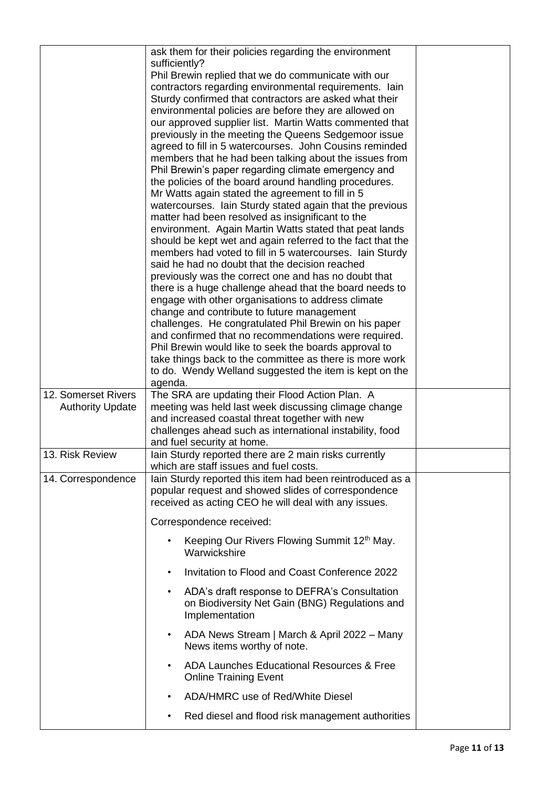|                                                | ask them for their policies regarding the environment<br>sufficiently?                                                 |
|------------------------------------------------|------------------------------------------------------------------------------------------------------------------------|
|                                                | Phil Brewin replied that we do communicate with our<br>contractors regarding environmental requirements. lain          |
|                                                | Sturdy confirmed that contractors are asked what their                                                                 |
|                                                | environmental policies are before they are allowed on                                                                  |
|                                                | our approved supplier list. Martin Watts commented that<br>previously in the meeting the Queens Sedgemoor issue        |
|                                                | agreed to fill in 5 watercourses. John Cousins reminded                                                                |
|                                                | members that he had been talking about the issues from                                                                 |
|                                                | Phil Brewin's paper regarding climate emergency and                                                                    |
|                                                | the policies of the board around handling procedures.<br>Mr Watts again stated the agreement to fill in 5              |
|                                                | watercourses. Iain Sturdy stated again that the previous                                                               |
|                                                | matter had been resolved as insignificant to the                                                                       |
|                                                | environment. Again Martin Watts stated that peat lands                                                                 |
|                                                | should be kept wet and again referred to the fact that the<br>members had voted to fill in 5 watercourses. Iain Sturdy |
|                                                | said he had no doubt that the decision reached                                                                         |
|                                                | previously was the correct one and has no doubt that                                                                   |
|                                                | there is a huge challenge ahead that the board needs to<br>engage with other organisations to address climate          |
|                                                | change and contribute to future management                                                                             |
|                                                | challenges. He congratulated Phil Brewin on his paper                                                                  |
|                                                | and confirmed that no recommendations were required.                                                                   |
|                                                | Phil Brewin would like to seek the boards approval to<br>take things back to the committee as there is more work       |
|                                                | to do. Wendy Welland suggested the item is kept on the                                                                 |
|                                                | agenda.                                                                                                                |
| 12. Somerset Rivers<br><b>Authority Update</b> | The SRA are updating their Flood Action Plan. A<br>meeting was held last week discussing climage change                |
|                                                | and increased coastal threat together with new                                                                         |
|                                                | challenges ahead such as international instability, food                                                               |
| 13. Risk Review                                | and fuel security at home.<br>lain Sturdy reported there are 2 main risks currently                                    |
|                                                | which are staff issues and fuel costs.                                                                                 |
|                                                |                                                                                                                        |
| 14. Correspondence                             | Iain Sturdy reported this item had been reintroduced as a                                                              |
|                                                | popular request and showed slides of correspondence                                                                    |
|                                                | received as acting CEO he will deal with any issues.                                                                   |
|                                                | Correspondence received:                                                                                               |
|                                                | Keeping Our Rivers Flowing Summit 12th May.<br>$\bullet$<br>Warwickshire                                               |
|                                                | Invitation to Flood and Coast Conference 2022<br>$\bullet$                                                             |
|                                                | ADA's draft response to DEFRA's Consultation<br>$\bullet$                                                              |
|                                                | on Biodiversity Net Gain (BNG) Regulations and<br>Implementation                                                       |
|                                                | ADA News Stream   March & April 2022 - Many<br>$\bullet$<br>News items worthy of note.                                 |
|                                                | ADA Launches Educational Resources & Free<br>$\bullet$<br><b>Online Training Event</b>                                 |
|                                                | ADA/HMRC use of Red/White Diesel<br>$\bullet$                                                                          |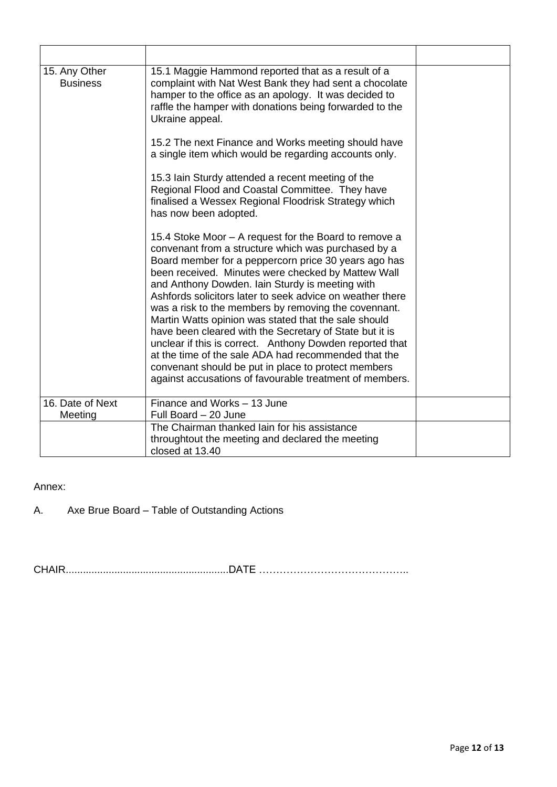| 15. Any Other<br><b>Business</b> | 15.1 Maggie Hammond reported that as a result of a<br>complaint with Nat West Bank they had sent a chocolate<br>hamper to the office as an apology. It was decided to<br>raffle the hamper with donations being forwarded to the<br>Ukraine appeal.                                                                                                                                                                                                                                                                                                                                                                                                                                                                                                         |  |
|----------------------------------|-------------------------------------------------------------------------------------------------------------------------------------------------------------------------------------------------------------------------------------------------------------------------------------------------------------------------------------------------------------------------------------------------------------------------------------------------------------------------------------------------------------------------------------------------------------------------------------------------------------------------------------------------------------------------------------------------------------------------------------------------------------|--|
|                                  | 15.2 The next Finance and Works meeting should have<br>a single item which would be regarding accounts only.                                                                                                                                                                                                                                                                                                                                                                                                                                                                                                                                                                                                                                                |  |
|                                  | 15.3 Iain Sturdy attended a recent meeting of the<br>Regional Flood and Coastal Committee. They have<br>finalised a Wessex Regional Floodrisk Strategy which<br>has now been adopted.                                                                                                                                                                                                                                                                                                                                                                                                                                                                                                                                                                       |  |
|                                  | 15.4 Stoke Moor – A request for the Board to remove a<br>convenant from a structure which was purchased by a<br>Board member for a peppercorn price 30 years ago has<br>been received. Minutes were checked by Mattew Wall<br>and Anthony Dowden. Iain Sturdy is meeting with<br>Ashfords solicitors later to seek advice on weather there<br>was a risk to the members by removing the covennant.<br>Martin Watts opinion was stated that the sale should<br>have been cleared with the Secretary of State but it is<br>unclear if this is correct. Anthony Dowden reported that<br>at the time of the sale ADA had recommended that the<br>convenant should be put in place to protect members<br>against accusations of favourable treatment of members. |  |
| 16. Date of Next<br>Meeting      | Finance and Works - 13 June<br>Full Board - 20 June                                                                                                                                                                                                                                                                                                                                                                                                                                                                                                                                                                                                                                                                                                         |  |
|                                  | The Chairman thanked lain for his assistance<br>throughtout the meeting and declared the meeting<br>closed at 13.40                                                                                                                                                                                                                                                                                                                                                                                                                                                                                                                                                                                                                                         |  |

Annex:

A. Axe Brue Board – Table of Outstanding Actions

CHAIR.........................................................DATE ……………………………………..